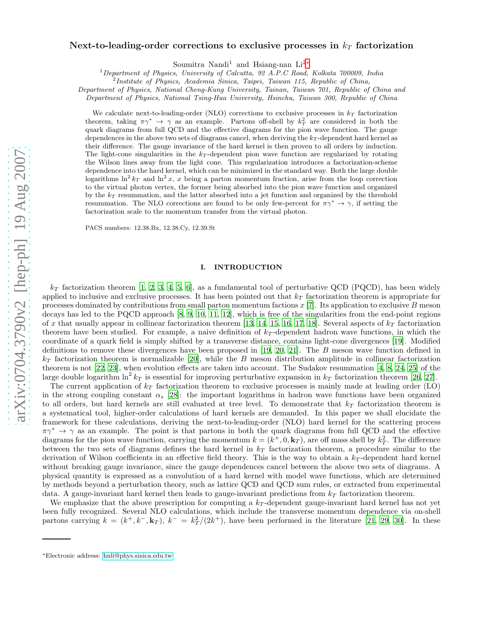# Next-to-leading-order corrections to exclusive processes in  $k_T$  factorization

Soumitra Nandi<sup>1</sup> and Hsiang-nan Li<sup>2</sup><sup>[∗](#page-0-0)</sup>

<sup>1</sup>Department of Physics, University of Calcutta, 92 A.P.C Road, Kolkata 700009, India

Department of Physics, National Cheng-Kung University, Tainan, Taiwan 701, Republic of China and

Department of Physics, National Tsing-Hua University, Hsinchu, Taiwan 300, Republic of China

We calculate next-to-leading-order (NLO) corrections to exclusive processes in  $k_T$  factorization theorem, taking  $\pi \gamma^* \to \gamma$  as an example. Partons off-shell by  $k_T^2$  are considered in both the quark diagrams from full QCD and the effective diagrams for the pion wave function. The gauge dependences in the above two sets of diagrams cancel, when deriving the  $k_T$ -dependent hard kernel as their difference. The gauge invariance of the hard kernel is then proven to all orders by induction. The light-cone singularities in the  $k_T$ -dependent pion wave function are regularized by rotating the Wilson lines away from the light cone. This regularization introduces a factorization-scheme dependence into the hard kernel, which can be minimized in the standard way. Both the large double logarithms  $\ln^2 k_T$  and  $\ln^2 x$ , x being a parton momentum fraction, arise from the loop correction to the virtual photon vertex, the former being absorbed into the pion wave function and organized by the  $k_T$  resummation, and the latter absorbed into a jet function and organized by the threshold resummation. The NLO corrections are found to be only few-percent for  $\pi\gamma^* \to \gamma$ , if setting the factorization scale to the momentum transfer from the virtual photon.

PACS numbers: 12.38.Bx, 12.38.Cy, 12.39.St

# I. INTRODUCTION

 $k_T$  factorization theorem [\[1,](#page-11-0) [2](#page-11-1), [3,](#page-11-2) [4](#page-11-3), [5](#page-11-4), [6\]](#page-11-5), as a fundamental tool of perturbative QCD (PQCD), has been widely applied to inclusive and exclusive processes. It has been pointed out that  $k_T$  factorization theorem is appropriate for processes dominated by contributions from small parton momentum factions  $x$  [\[7\]](#page-11-6). Its application to exclusive  $B$  meson decays has led to the PQCD approach [\[8,](#page-11-7) [9,](#page-11-8) [10,](#page-11-9) [11](#page-11-10), [12\]](#page-11-11), which is free of the singularities from the end-point regions of x that usually appear in collinear factorization theorem [\[13,](#page-11-12) [14,](#page-11-13) [15,](#page-11-14) [16,](#page-11-15) [17,](#page-11-16) [18\]](#page-12-0). Several aspects of  $k_T$  factorization theorem have been studied. For example, a naive definition of  $k<sub>T</sub>$ -dependent hadron wave functions, in which the coordinate of a quark field is simply shifted by a transverse distance, contains light-cone divergences [\[19\]](#page-12-1). Modified definitions to remove these divergences have been proposed in [\[19](#page-12-1), [20,](#page-12-2) [21\]](#page-12-3). The B meson wave function defined in  $k_T$  factorization theorem is normalizable [\[20\]](#page-12-2), while the B meson distribution amplitude in collinear factorization theorem is not [\[22,](#page-12-4) [23\]](#page-12-5), when evolution effects are taken into account. The Sudakov resummation [\[4](#page-11-3), [8](#page-11-7), [24](#page-12-6), [25](#page-12-7)] of the large double logarithm  $\ln^2 k_T$  is essential for improving perturbative expansion in  $k_T$  factorization theorem [\[26,](#page-12-8) [27\]](#page-12-9).

The current application of  $k_T$  factorization theorem to exclusive processes is mainly made at leading order (LO) in the strong coupling constant  $\alpha_s$  [\[28](#page-12-10)]: the important logarithms in hadron wave functions have been organized to all orders, but hard kernels are still evaluated at tree level. To demonstrate that  $k_T$  factorization theorem is a systematical tool, higher-order calculations of hard kernels are demanded. In this paper we shall elucidate the framework for these calculations, deriving the next-to-leading-order (NLO) hard kernel for the scattering process  $\pi\gamma^* \to \gamma$  as an example. The point is that partons in both the quark diagrams from full QCD and the effective diagrams for the pion wave function, carrying the momentum  $k = (k^+, 0, \mathbf{k}_T)$ , are off mass shell by  $k_T^2$ . The difference between the two sets of diagrams defines the hard kernel in  $k_T$  factorization theorem, a procedure similar to the derivation of Wilson coefficients in an effective field theory. This is the way to obtain a  $k_T$ -dependent hard kernel without breaking gauge invariance, since the gauge dependences cancel between the above two sets of diagrams. A physical quantity is expressed as a convolution of a hard kernel with model wave functions, which are determined by methods beyond a perturbation theory, such as lattice QCD and QCD sum rules, or extracted from experimental data. A gauge-invariant hard kernel then leads to gauge-invariant predictions from  $k_T$  factorization theorem.

We emphasize that the above prescription for computing a  $k_T$ -dependent gauge-invariant hard kernel has not yet been fully recognized. Several NLO calculations, which include the transverse momentum dependence via on-shell partons carrying  $k = (k^+, k^-, \mathbf{k}_T)$ ,  $k^- = k_T^2/(2k^+)$ , have been performed in the literature [\[21](#page-12-3), [29,](#page-12-11) [30](#page-12-12)]. In these

<sup>&</sup>lt;sup>2</sup>Institute of Physics, Academia Sinica, Taipei, Taiwan 115, Republic of China,

<span id="page-0-0"></span><sup>∗</sup>Electronic address: [hnli@phys.sinica.edu.tw](mailto:hnli@phys.sinica.edu.tw)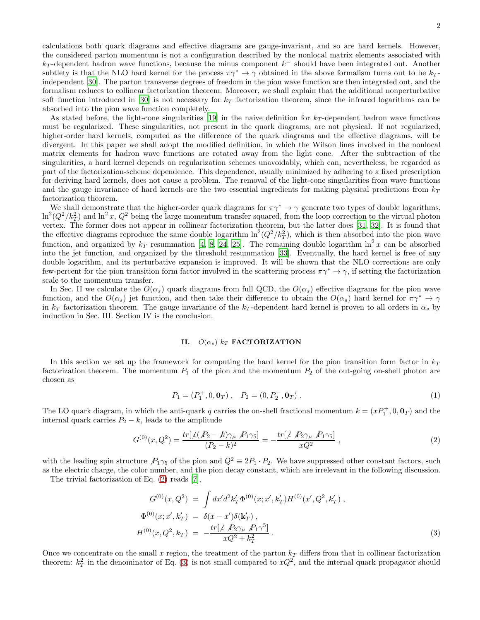calculations both quark diagrams and effective diagrams are gauge-invariant, and so are hard kernels. However, the considered parton momentum is not a configuration described by the nonlocal matrix elements associated with  $k_T$ -dependent hadron wave functions, because the minus component  $k^-$  should have been integrated out. Another subtlety is that the NLO hard kernel for the process  $\pi \gamma^* \to \gamma$  obtained in the above formalism turns out to be  $k_T$ independent [\[30\]](#page-12-12). The parton transverse degrees of freedom in the pion wave function are then integrated out, and the formalism reduces to collinear factorization theorem. Moreover, we shall explain that the additional nonperturbative soft function introduced in [\[30\]](#page-12-12) is not necessary for  $k_T$  factorization theorem, since the infrared logarithms can be absorbed into the pion wave function completely.

As stated before, the light-cone singularities [\[19\]](#page-12-1) in the naive definition for  $k_T$ -dependent hadron wave functions must be regularized. These singularities, not present in the quark diagrams, are not physical. If not regularized, higher-order hard kernels, computed as the difference of the quark diagrams and the effective diagrams, will be divergent. In this paper we shall adopt the modified definition, in which the Wilson lines involved in the nonlocal matrix elements for hadron wave functions are rotated away from the light cone. After the subtraction of the singularities, a hard kernel depends on regularization schemes unavoidably, which can, nevertheless, be regarded as part of the factorization-scheme dependence. This dependence, usually minimized by adhering to a fixed prescription for deriving hard kernels, does not cause a problem. The removal of the light-cone singularities from wave functions and the gauge invariance of hard kernels are the two essential ingredients for making physical predictions from  $k_T$ factorization theorem.

We shall demonstrate that the higher-order quark diagrams for  $\pi \gamma^* \to \gamma$  generate two types of double logarithms,  $\ln^2(Q^2/k_T^2)$  and  $\ln^2 x$ ,  $Q^2$  being the large momentum transfer squared, from the loop correction to the virtual photon vertex. The former does not appear in collinear factorization theorem, but the latter does [\[31,](#page-12-13) [32](#page-12-14)]. It is found that the effective diagrams reproduce the same double logarithm  $\ln^2(Q^2/k_T^2)$ , which is then absorbed into the pion wave function, and organized by  $k_T$  resummation [\[4,](#page-11-3) [8,](#page-11-7) [24,](#page-12-6) [25](#page-12-7)]. The remaining double logarithm  $\ln^2 x$  can be absorbed into the jet function, and organized by the threshold resummation [\[33\]](#page-12-15). Eventually, the hard kernel is free of any double logarithm, and its perturbative expansion is improved. It will be shown that the NLO corrections are only few-percent for the pion transition form factor involved in the scattering process  $\pi\gamma^* \to \gamma$ , if setting the factorization scale to the momentum transfer.

In Sec. II we calculate the  $O(\alpha_s)$  quark diagrams from full QCD, the  $O(\alpha_s)$  effective diagrams for the pion wave function, and the  $O(\alpha_s)$  jet function, and then take their difference to obtain the  $O(\alpha_s)$  hard kernel for  $\pi\gamma^* \to \gamma$ in  $k_T$  factorization theorem. The gauge invariance of the  $k_T$ -dependent hard kernel is proven to all orders in  $\alpha_s$  by induction in Sec. III. Section IV is the conclusion.

### II.  $O(\alpha_s)$   $k_T$  FACTORIZATION

In this section we set up the framework for computing the hard kernel for the pion transition form factor in  $k_T$ factorization theorem. The momentum  $P_1$  of the pion and the momentum  $P_2$  of the out-going on-shell photon are chosen as

$$
P_1 = (P_1^+, 0, \mathbf{0}_T), \quad P_2 = (0, P_2^-, \mathbf{0}_T). \tag{1}
$$

The LO quark diagram, in which the anti-quark  $\bar{q}$  carries the on-shell fractional momentum  $k = (xP_1^+, 0, \mathbf{0}_T)$  and the internal quark carries  $P_2 - k$ , leads to the amplitude

<span id="page-1-0"></span>
$$
G^{(0)}(x,Q^2) = \frac{tr[\cancel{1}(P_2 - k)\gamma_\mu \ P_1 \gamma_5]}{(P_2 - k)^2} = -\frac{tr[\cancel{1}(P_2 \gamma_\mu \ P_1 \gamma_5)]}{xQ^2} \,,\tag{2}
$$

with the leading spin structure  $P_1\gamma_5$  of the pion and  $Q^2 \equiv 2P_1 \cdot P_2$ . We have suppressed other constant factors, such as the electric charge, the color number, and the pion decay constant, which are irrelevant in the following discussion.

The trivial factorization of Eq. [\(2\)](#page-1-0) reads [\[7](#page-11-6)],

<span id="page-1-1"></span>
$$
G^{(0)}(x, Q^2) = \int dx'd^2k'_T \Phi^{(0)}(x; x', k'_T) H^{(0)}(x', Q^2, k'_T) ,
$$
  
\n
$$
\Phi^{(0)}(x; x', k'_T) = \delta(x - x')\delta(\mathbf{k}'_T) ,
$$
  
\n
$$
H^{(0)}(x, Q^2, k_T) = -\frac{tr[\cancel{f} \mathcal{P}_2 \gamma_\mu \mathcal{P}_1 \gamma^5]}{xQ^2 + k_T^2} .
$$
\n(3)

Once we concentrate on the small x region, the treatment of the parton  $k_T$  differs from that in collinear factorization theorem:  $k_T^2$  in the denominator of Eq. [\(3\)](#page-1-1) is not small compared to  $xQ^2$ , and the internal quark propagator should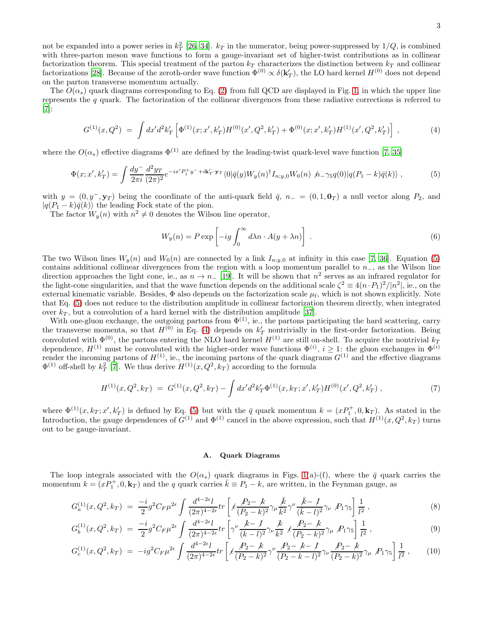not be expanded into a power series in  $k_T^2$  [\[26,](#page-12-8) [34\]](#page-12-16).  $k_T$  in the numerator, being power-suppressed by  $1/Q$ , is combined with three-parton meson wave functions to form a gauge-invariant set of higher-twist contributions as in collinear factorization theorem. This special treatment of the parton  $k_T$  characterizes the distinction between  $k_T$  and collinear factorizations [\[28](#page-12-10)]. Because of the zeroth-order wave function  $\Phi^{(0)} \propto \delta(\mathbf{k}'_T)$ , the LO hard kernel  $H^{(0)}$  does not depend on the parton transverse momentum actually.

The  $O(\alpha_s)$  quark diagrams corresponding to Eq. [\(2\)](#page-1-0) from full QCD are displayed in Fig. [1,](#page-3-0) in which the upper line represents the q quark. The factorization of the collinear divergences from these radiative corrections is referred to [\[7\]](#page-11-6):

<span id="page-2-1"></span>
$$
G^{(1)}(x,Q^2) = \int dx'd^2k'_T \left[ \Phi^{(1)}(x;x',k'_T)H^{(0)}(x',Q^2,k'_T) + \Phi^{(0)}(x;x',k'_T)H^{(1)}(x',Q^2,k'_T) \right],\tag{4}
$$

where the  $O(\alpha_s)$  effective diagrams  $\Phi^{(1)}$  are defined by the leading-twist quark-level wave function [\[7,](#page-11-6) [35\]](#page-12-17)

<span id="page-2-0"></span>
$$
\Phi(x; x', k'_T) = \int \frac{dy^-}{2\pi i} \frac{d^2 y_T}{(2\pi)^2} e^{-ix'P_1^+ y^- + i\mathbf{k}'_T \cdot \mathbf{y}_T} \langle 0 | \bar{q}(y) W_y(n)^\dagger I_{n; y, 0} W_0(n) \ \hat{n} - \gamma_5 q(0) | q(P_1 - k) \bar{q}(k) \rangle , \tag{5}
$$

with  $y = (0, y^-, y_T)$  being the coordinate of the anti-quark field  $\bar{q}$ ,  $n_ - = (0, 1, 0_T)$  a null vector along  $P_2$ , and  $|q(P_1 - k)\bar{q}(k)\rangle$  the leading Fock state of the pion.

The factor  $W_y(n)$  with  $n^2 \neq 0$  denotes the Wilson line operator,

<span id="page-2-3"></span>
$$
W_y(n) = P \exp\left[-ig \int_0^\infty d\lambda n \cdot A(y + \lambda n)\right].
$$
 (6)

The two Wilson lines  $W_y(n)$  and  $W_0(n)$  are connected by a link  $I_{n;y,0}$  at infinity in this case [\[7,](#page-11-6) [36](#page-12-18)]. Equation [\(5\)](#page-2-0) contains additional collinear divergences from the region with a loop momentum parallel to  $n_$ , as the Wilson line direction approaches the light cone, ie., as  $n \to n_$  [\[19\]](#page-12-1). It will be shown that  $n^2$  serves as an infrared regulator for the light-cone singularities, and that the wave function depends on the additional scale  $\zeta^2 \equiv 4(n \cdot P_1)^2/|n^2|$ , ie., on the external kinematic variable. Besides,  $\Phi$  also depends on the factorization scale  $\mu_f$ , which is not shown explicitly. Note that Eq. [\(5\)](#page-2-0) does not reduce to the distribution amplitude in collinear factorization theorem directly, when integrated over  $k_T$ , but a convolution of a hard kernel with the distribution amplitude [\[37](#page-12-19)].

With one-gluon exchange, the outgoing partons from  $\Phi^{(1)}$ , ie., the partons participating the hard scattering, carry the transverse momenta, so that  $H^{(0)}$  in Eq. [\(4\)](#page-2-1) depends on  $k_T$  nontrivially in the first-order factorization. Being convoluted with  $\Phi^{(0)}$ , the partons entering the NLO hard kernel  $H^{(1)}$  are still on-shell. To acquire the nontrivial  $k_T$ dependence,  $H^{(1)}$  must be convoluted with the higher-order wave functions  $\Phi^{(i)}$ ,  $i \geq 1$ : the gluon exchanges in  $\Phi^{(i)}$ render the incoming partons of  $H^{(1)}$ , ie., the incoming partons of the quark diagrams  $G^{(1)}$  and the effective diagrams  $\Phi^{(1)}$  off-shell by  $k_T^2$  [\[7](#page-11-6)]. We thus derive  $H^{(1)}(x, Q^2, k_T)$  according to the formula

$$
H^{(1)}(x,Q^2,k_T) = G^{(1)}(x,Q^2,k_T) - \int dx'd^2k'_T \Phi^{(1)}(x,k_T;x',k'_T)H^{(0)}(x',Q^2,k'_T) ,\qquad (7)
$$

where  $\Phi^{(1)}(x, k_T; x', k_T')$  is defined by Eq. [\(5\)](#page-2-0) but with the  $\bar{q}$  quark momentum  $k = (x P_1^+, 0, k_T)$ . As stated in the Introduction, the gauge dependences of  $G^{(1)}$  and  $\Phi^{(1)}$  cancel in the above expression, such that  $H^{(1)}(x, Q^2, k_T)$  turns out to be gauge-invariant.

#### A. Quark Diagrams

The loop integrals associated with the  $O(\alpha_s)$  quark diagrams in Figs. [1\(](#page-3-0)a)-(f), where the  $\bar{q}$  quark carries the momentum  $k = (xP_1^+, 0, \mathbf{k}_T)$  and the q quark carries  $\bar{k} \equiv P_1 - k$ , are written, in the Feynman gauge, as

<span id="page-2-2"></span>
$$
G_a^{(1)}(x,Q^2,k_T) = \frac{-i}{2}g^2 C_F \mu^{2\epsilon} \int \frac{d^{4-2\epsilon}l}{(2\pi)^{4-2\epsilon}} tr \left[ \measuredangle \frac{P_2 - k}{(P_2 - k)^2} \gamma_\mu \frac{\bar{k}}{\bar{k}^2} \gamma^\nu \frac{\bar{k} - I}{(\bar{k} - l)^2} \gamma_\nu \not P_1 \gamma_5 \right] \frac{1}{l^2} \,, \tag{8}
$$

$$
G_b^{(1)}(x,Q^2,k_T) = \frac{-i}{2}g^2 C_F \mu^{2\epsilon} \int \frac{d^{4-2\epsilon}l}{(2\pi)^{4-2\epsilon}} tr \left[ \gamma^\nu \frac{k-l}{(k-l)^2} \gamma_\nu \frac{k}{k^2} \not{k} \frac{P_2 - k}{(P_2 - k)^2} \gamma_\mu \not{P_1} \gamma_5 \right] \frac{1}{l^2} , \tag{9}
$$

$$
G_c^{(1)}(x,Q^2,k_T) = -ig^2 C_F \mu^{2\epsilon} \int \frac{d^{4-2\epsilon}l}{(2\pi)^{4-2\epsilon}} tr \left[ \frac{P_2 - k}{(P_2 - k)^2} \gamma^\nu \frac{P_2 - k - l}{(P_2 - k - l)^2} \gamma_\nu \frac{P_2 - k}{(P_2 - k)^2} \gamma_\mu \right] \frac{1}{l^2} , \qquad (10)
$$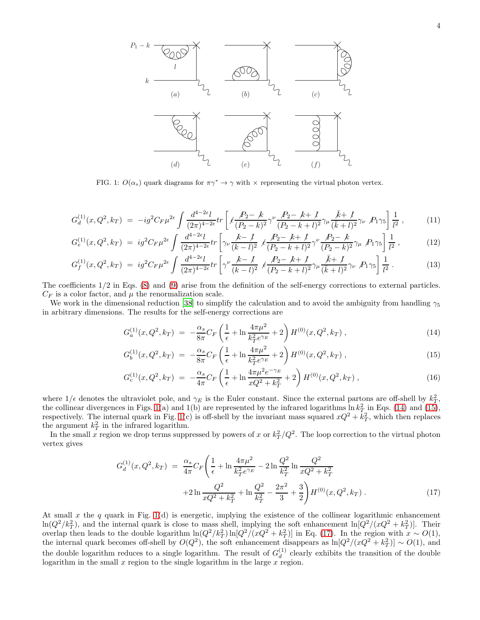

<span id="page-3-0"></span>FIG. 1:  $O(\alpha_s)$  quark diagrams for  $\pi \gamma^* \to \gamma$  with  $\times$  representing the virtual photon vertex.

$$
G_d^{(1)}(x,Q^2,k_T) = -ig^2 C_F \mu^{2\epsilon} \int \frac{d^{4-2\epsilon}l}{(2\pi)^{4-2\epsilon}} tr \left[ \measuredangle \frac{P_2 - k}{(P_2 - k)^2} \gamma^\nu \frac{P_2 - k + l}{(P_2 - k + l)^2} \gamma_\mu \frac{\bar{k} + l}{(\bar{k} + l)^2} \gamma_\nu \right] \frac{1}{l^2} \,, \tag{11}
$$

$$
G_e^{(1)}(x,Q^2,k_T) = ig^2 C_F \mu^{2\epsilon} \int \frac{d^{4-2\epsilon}l}{(2\pi)^{4-2\epsilon}} tr \left[ \gamma_\nu \frac{k-l}{(k-l)^2} \not{L} \frac{P_2 - k + l}{(P_2 - k + l)^2} \gamma^\nu \frac{P_2 - k}{(P_2 - k)^2} \gamma_\mu \not{P_1} \gamma_5 \right] \frac{1}{l^2} , \tag{12}
$$

$$
G_f^{(1)}(x,Q^2,k_T) = ig^2 C_F \mu^{2\epsilon} \int \frac{d^{4-2\epsilon}l}{(2\pi)^{4-2\epsilon}} tr \left[ \gamma^\nu \frac{k-l}{(k-l)^2} \not{k} \frac{P_2 - k+l}{(P_2 - k+l)^2} \gamma_\mu \frac{\bar{k} + l}{(\bar{k} + l)^2} \gamma_\nu \not{P_1} \gamma_5 \right] \frac{1}{l^2} \,. \tag{13}
$$

The coefficients 1/2 in Eqs. [\(8\)](#page-2-2) and [\(9\)](#page-2-2) arise from the definition of the self-energy corrections to external particles.  $C_F$  is a color factor, and  $\mu$  the renormalization scale.

We work in the dimensional reduction [\[38](#page-12-20)] to simplify the calculation and to avoid the ambiguity from handling  $\gamma_5$ in arbitrary dimensions. The results for the self-energy corrections are

<span id="page-3-1"></span>
$$
G_a^{(1)}(x,Q^2,k_T) = -\frac{\alpha_s}{8\pi}C_F\left(\frac{1}{\epsilon} + \ln\frac{4\pi\mu^2}{k_T^2 e^{\gamma_E}} + 2\right)H^{(0)}(x,Q^2,k_T) ,\qquad (14)
$$

$$
G_b^{(1)}(x, Q^2, k_T) = -\frac{\alpha_s}{8\pi} C_F \left( \frac{1}{\epsilon} + \ln \frac{4\pi\mu^2}{k_T^2 e^{\gamma_E}} + 2 \right) H^{(0)}(x, Q^2, k_T) , \qquad (15)
$$

$$
G_c^{(1)}(x,Q^2,k_T) = -\frac{\alpha_s}{4\pi}C_F \left(\frac{1}{\epsilon} + \ln\frac{4\pi\mu^2 e^{-\gamma_E}}{xQ^2 + k_T^2} + 2\right)H^{(0)}(x,Q^2,k_T) ,\qquad (16)
$$

where  $1/\epsilon$  denotes the ultraviolet pole, and  $\gamma_E$  is the Euler constant. Since the external partons are off-shell by  $k_T^2$ , the collinear divergences in Figs. [1\(](#page-3-0)a) and 1(b) are represented by the infrared logarithms  $\ln k_T^2$  in Eqs. [\(14\)](#page-3-1) and [\(15\)](#page-3-1), respectively. The internal quark in Fig. [1\(](#page-3-0)c) is off-shell by the invariant mass squared  $xQ^2 + k_T^2$ , which then replaces the argument  $k_T^2$  in the infrared logarithm.

In the small x region we drop terms suppressed by powers of x or  $k_T^2/Q^2$ . The loop correction to the virtual photon vertex gives

<span id="page-3-2"></span>
$$
G_d^{(1)}(x, Q^2, k_T) = \frac{\alpha_s}{4\pi} C_F \left( \frac{1}{\epsilon} + \ln \frac{4\pi\mu^2}{k_T^2 e^{\gamma_E}} - 2\ln \frac{Q^2}{k_T^2} \ln \frac{Q^2}{xQ^2 + k_T^2} + 2\ln \frac{Q^2}{xQ^2 + k_T^2} + \ln \frac{Q^2}{k_T^2} - \frac{2\pi^2}{3} + \frac{3}{2} \right) H^{(0)}(x, Q^2, k_T) .
$$
\n(17)

At small x the q quark in Fig. [1\(](#page-3-0)d) is energetic, implying the existence of the collinear logarithmic enhancement  $\ln(Q^2/k_T^2)$ , and the internal quark is close to mass shell, implying the soft enhancement  $\ln[Q^2/(xQ^2+k_T^2)]$ . Their m( $Q \nmid N_T$ ), and the international track is close to mass shell, implying the soft email: email: in [Q2/(xQ2 + k<sup>2</sup>r)] in Eq. [\(17\)](#page-3-2). In the region with  $x \sim O(1)$ , the internal quark becomes off-shell by  $O(Q^2)$ , the soft enhancement disappears as  $\ln[Q^2/(xQ^2 + k_T^2)] \sim O(1)$ , and the double logarithm reduces to a single logarithm. The result of  $G_d^{(1)}$  $\frac{d^{(1)}}{d}$  clearly exhibits the transition of the double logarithm in the small  $x$  region to the single logarithm in the large  $x$  region.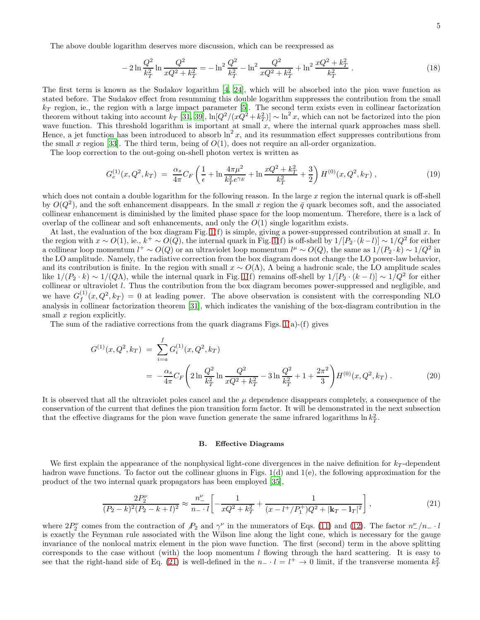The above double logarithm deserves more discussion, which can be reexpressed as

<span id="page-4-1"></span>
$$
-2\ln\frac{Q^2}{k_T^2}\ln\frac{Q^2}{xQ^2+k_T^2} = -\ln^2\frac{Q^2}{k_T^2} - \ln^2\frac{Q^2}{xQ^2+k_T^2} + \ln^2\frac{xQ^2+k_T^2}{k_T^2} \,. \tag{18}
$$

The first term is known as the Sudakov logarithm [\[4](#page-11-3), [24\]](#page-12-6), which will be absorbed into the pion wave function as stated before. The Sudakov effect from resumming this double logarithm suppresses the contribution from the small  $k_T$  region, ie., the region with a large impact parameter [\[5](#page-11-4)]. The second term exists even in collinear factorization theorem without taking into account  $k_T$  [\[31,](#page-12-13) [39](#page-12-21)],  $\ln[Q^2/(x\dot{Q}^2+k_T^2)] \sim \ln^2 x$ , which can not be factorized into the pion wave function. This threshold logarithm is important at small  $x$ , where the internal quark approaches mass shell. Hence, a jet function has been introduced to absorb  $\ln^2 x$ , and its resummation effect suppresses contributions from the small x region [\[33\]](#page-12-15). The third term, being of  $O(1)$ , does not require an all-order organization.

The loop correction to the out-going on-shell photon vertex is written as

$$
G_e^{(1)}(x,Q^2,k_T) = \frac{\alpha_s}{4\pi} C_F \left( \frac{1}{\epsilon} + \ln \frac{4\pi\mu^2}{k_T^2 e^{\gamma_E}} + \ln \frac{xQ^2 + k_T^2}{k_T^2} + \frac{3}{2} \right) H^{(0)}(x,Q^2,k_T) ,\qquad (19)
$$

which does not contain a double logarithm for the following reason. In the large  $x$  region the internal quark is off-shell by  $O(Q^2)$ , and the soft enhancement disappears. In the small x region the  $\bar{q}$  quark becomes soft, and the associated collinear enhancement is diminished by the limited phase space for the loop momentum. Therefore, there is a lack of overlap of the collinear and soft enhancements, and only the  $O(1)$  single logarithm exists.

At last, the evaluation of the box diagram Fig.  $1(f)$  is simple, giving a power-suppressed contribution at small x. In the region with  $x \sim O(1)$ , ie.,  $k^+ \sim O(Q)$ , the internal quark in Fig. [1\(](#page-3-0)f) is off-shell by  $1/[P_2 \cdot (k-l)] \sim 1/Q^2$  for either a collinear loop momentum  $l^+ \sim O(Q)$  or an ultraviolet loop momentum  $l^{\mu} \sim O(Q)$ , the same as  $1/(P_2 \cdot k) \sim 1/Q^2$  in the LO amplitude. Namely, the radiative correction from the box diagram does not change the LO power-law behavior, and its contribution is finite. In the region with small  $x \sim O(\Lambda)$ ,  $\Lambda$  being a hadronic scale, the LO amplitude scales like  $1/(P_2 \cdot k) \sim 1/(Q\Lambda)$ , while the internal quark in Fig. [1\(](#page-3-0)f) remains off-shell by  $1/[P_2 \cdot (k-l)] \sim 1/Q^2$  for either collinear or ultraviolet l. Thus the contribution from the box diagram becomes power-suppressed and negligible, and we have  $G_f^{(1)}$  $f_f^{(1)}(x,Q^2,k_T) = 0$  at leading power. The above observation is consistent with the corresponding NLO analysis in collinear factorization theorem [\[31\]](#page-12-13), which indicates the vanishing of the box-diagram contribution in the small x region explicitly.

The sum of the radiative corrections from the quark diagrams Figs.  $1(a)$  $1(a)$ -(f) gives

<span id="page-4-2"></span>
$$
G^{(1)}(x, Q^2, k_T) = \sum_{i=a}^{f} G_i^{(1)}(x, Q^2, k_T)
$$
  
= 
$$
-\frac{\alpha_s}{4\pi} C_F \left(2 \ln \frac{Q^2}{k_T^2} \ln \frac{Q^2}{xQ^2 + k_T^2} - 3 \ln \frac{Q^2}{k_T^2} + 1 + \frac{2\pi^2}{3} \right) H^{(0)}(x, Q^2, k_T).
$$
 (20)

It is observed that all the ultraviolet poles cancel and the  $\mu$  dependence disappears completely, a consequence of the conservation of the current that defines the pion transition form factor. It will be demonstrated in the next subsection that the effective diagrams for the pion wave function generate the same infrared logarithms  $\ln k_T^2$ .

#### B. Effective Diagrams

We first explain the appearance of the nonphysical light-cone divergences in the naive definition for  $k_T$ -dependent hadron wave functions. To factor out the collinear gluons in Figs.  $1(d)$  and  $1(e)$ , the following approximation for the product of the two internal quark propagators has been employed [\[35\]](#page-12-17),

<span id="page-4-0"></span>
$$
\frac{2P_2^{\nu}}{(P_2 - k)^2 (P_2 - k + l)^2} \approx \frac{n_{-}^{\nu}}{n_{-} \cdot l} \left[ -\frac{1}{xQ^2 + k_T^2} + \frac{1}{(x - l^+ / P_1^+) Q^2 + |\mathbf{k}_T - \mathbf{l}_T|^2} \right],\tag{21}
$$

where  $2P_2^{\nu}$  comes from the contraction of  $P_2$  and  $\gamma^{\nu}$  in the numerators of Eqs. [\(11\)](#page-2-2) and [\(12\)](#page-2-2). The factor  $n_{-}^{\nu}/n_{-} \cdot l$ is exactly the Feynman rule associated with the Wilson line along the light cone, which is necessary for the gauge invariance of the nonlocal matrix element in the pion wave function. The first (second) term in the above splitting corresponds to the case without (with) the loop momentum  $l$  flowing through the hard scattering. It is easy to see that the right-hand side of Eq. [\(21\)](#page-4-0) is well-defined in the  $n- l = l^+ \to 0$  limit, if the transverse momenta  $k_T^2$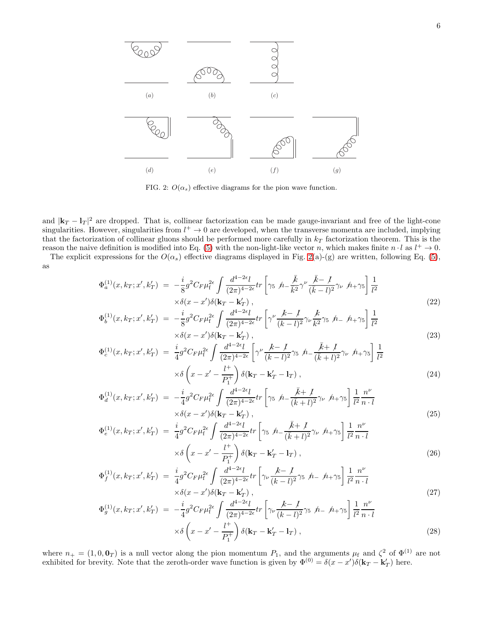

<span id="page-5-0"></span>FIG. 2:  $O(\alpha_s)$  effective diagrams for the pion wave function.

and  $|\mathbf{k}_T - \mathbf{l}_T|^2$  are dropped. That is, collinear factorization can be made gauge-invariant and free of the light-cone singularities. However, singularities from  $l^+ \to 0$  are developed, when the transverse momenta are included, implying that the factorization of collinear gluons should be performed more carefully in  $k_T$  factorization theorem. This is the reason the naive definition is modified into Eq. [\(5\)](#page-2-0) with the non-light-like vector n, which makes finite  $n \cdot l$  as  $l^+ \to 0$ .

The explicit expressions for the  $O(\alpha_s)$  effective diagrams displayed in Fig. [2\(](#page-5-0)a)-(g) are written, following Eq. [\(5\)](#page-2-0), as

<span id="page-5-1"></span>
$$
\Phi_a^{(1)}(x, k_T; x', k_T') = -\frac{i}{8} g^2 C_F \mu_f^{2\epsilon} \int \frac{d^{4-2\epsilon}l}{(2\pi)^{4-2\epsilon}} tr \left[ \gamma_5 \ \hbar - \frac{\bar{k}}{\bar{k}^2} \gamma^\nu \frac{\bar{k} - \bar{l}}{(\bar{k} - l)^2} \gamma_\nu \ \hbar + \gamma_5 \right] \frac{1}{l^2} \times \delta(x - x') \delta(\mathbf{k}_T - \mathbf{k}_T'), \tag{22}
$$

$$
\Phi_b^{(1)}(x, k_T; x', k'_T) = -\frac{i}{8} g^2 C_F \mu_f^{2\epsilon} \int \frac{d^{4-2\epsilon}l}{(2\pi)^{4-2\epsilon}} tr \left[ \gamma^\nu \frac{k}{(k-l)^2} \gamma_\nu \frac{k}{k^2} \gamma_5 \ \hat{h}_- \ \hat{h}_+ \gamma_5 \right] \frac{1}{l^2} \times \delta(x-x') \delta(\mathbf{k}_T - \mathbf{k}'_T) , \tag{23}
$$

$$
\Phi_c^{(1)}(x, k_T; x', k'_T) = \frac{i}{4} g^2 C_F \mu_f^{2\epsilon} \int \frac{d^{4-2\epsilon} l}{(2\pi)^{4-2\epsilon}} \left[ \gamma^\nu \frac{k-1}{(k-l)^2} \gamma_5 \right] \frac{\bar{k} + 1}{(\bar{k}+l)^2} \gamma_\nu \left[ \frac{1}{l^2} \right] \frac{1}{l^2}
$$
  
 
$$
\times \delta \left( x - x' - \frac{l^+}{P_1^+} \right) \delta(\mathbf{k}_T - \mathbf{k}_T' - \mathbf{l}_T) , \qquad (24)
$$

$$
\Phi_d^{(1)}(x, k_T; x', k'_T) = -\frac{i}{4} g^2 C_F \mu_f^{2\epsilon} \int \frac{d^{4-2\epsilon}l}{(2\pi)^{4-2\epsilon}} tr \left[ \gamma_5 \; \hbar - \frac{\bar{k} + \;l}{(\bar{k} + l)^2} \gamma_\nu \; \hbar + \gamma_5 \right] \frac{1}{l^2} \frac{n^\nu}{n \cdot l} \times \delta(x - x') \delta(\mathbf{k}_T - \mathbf{k}'_T) , \tag{25}
$$

$$
\Phi_e^{(1)}(x, k_T; x', k_T') = \frac{i}{4} g^2 C_F \mu_f^{2\epsilon} \int \frac{d^{4-2\epsilon} l}{(2\pi)^{4-2\epsilon}} tr \left[ \gamma_5 \left( \frac{\bar{k} + l}{(\bar{k} + l)^2} \gamma_\nu \left( \frac{\bar{k} + l}{l^2} \gamma_\nu \right) \frac{1}{l^2} \frac{n^\nu}{n \cdot l} \right) \times \delta \left( x - x' - \frac{l^+}{P_1^+} \right) \delta(\mathbf{k}_T - \mathbf{k}_T' - \mathbf{l}_T) ,
$$
\n(26)

$$
\Phi_f^{(1)}(x, k_T; x', k'_T) = \frac{i}{4} g^2 C_F \mu_f^{2\epsilon} \int \frac{d^{4-2\epsilon} l}{(2\pi)^{4-2\epsilon}} tr \left[ \gamma_\nu \frac{k - l}{(k-l)^2} \gamma_5 \ \hat{n}_- \ \hat{n}_+ \gamma_5 \right] \frac{1}{l^2} \frac{n^\nu}{n \cdot l} \times \delta(x - x') \delta(\mathbf{k}_T - \mathbf{k}'_T), \tag{27}
$$

$$
\Phi_g^{(1)}(x, k_T; x', k'_T) = -\frac{i}{4} g^2 C_F \mu_f^{2\epsilon} \int \frac{d^{4-2\epsilon} l}{(2\pi)^{4-2\epsilon}} tr \left[ \gamma_\nu \frac{k - \ell}{(k - l)^2} \gamma_5 \ \hat{h}_- \ \hat{h}_+ \gamma_5 \right] \frac{1}{l^2} \frac{n^\nu}{n \cdot l} \times \delta \left( x - x' - \frac{l^+}{P_1^+} \right) \delta(\mathbf{k}_T - \mathbf{k}'_T - \mathbf{l}_T) ,
$$
\n(28)

where  $n_+ = (1, 0, \mathbf{0}_T)$  is a null vector along the pion momentum  $P_1$ , and the arguments  $\mu_f$  and  $\zeta^2$  of  $\Phi^{(1)}$  are not exhibited for brevity. Note that the zeroth-order wave function is given by  $\Phi^{(0)} = \delta(x - x')\delta(\mathbf{k}_T - \mathbf{k}'_T)$  here.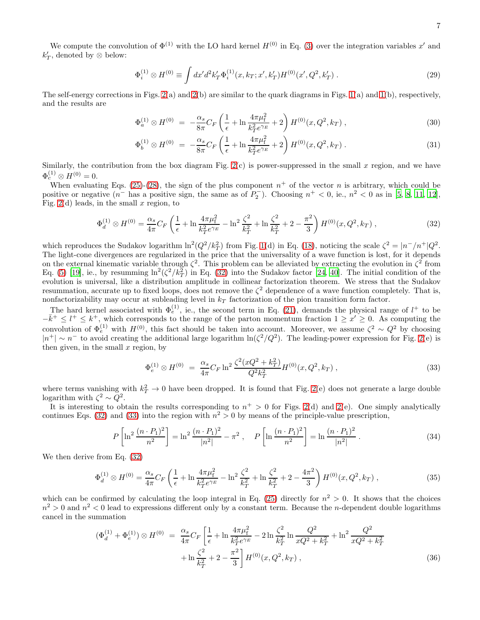We compute the convolution of  $\Phi^{(1)}$  with the LO hard kernel  $H^{(0)}$  in Eq. [\(3\)](#page-1-1) over the integration variables x' and  $k'_T$ , denoted by ⊗ below:

$$
\Phi_i^{(1)} \otimes H^{(0)} \equiv \int dx' d^2 k'_T \Phi_i^{(1)}(x, k_T; x', k'_T) H^{(0)}(x', Q^2, k'_T) . \tag{29}
$$

The self-energy corrections in Figs.  $2(a)$  and  $2(b)$  are similar to the quark diagrams in Figs.  $1(a)$  and  $1(b)$ , respectively, and the results are

$$
\Phi_a^{(1)} \otimes H^{(0)} = -\frac{\alpha_s}{8\pi} C_F \left( \frac{1}{\epsilon} + \ln \frac{4\pi\mu_f^2}{k_T^2 e^{\gamma_E}} + 2 \right) H^{(0)}(x, Q^2, k_T) ,\qquad (30)
$$

$$
\Phi_b^{(1)} \otimes H^{(0)} = -\frac{\alpha_s}{8\pi} C_F \left( \frac{1}{\epsilon} + \ln \frac{4\pi\mu_f^2}{k_T^2 e^{\gamma_E}} + 2 \right) H^{(0)}(x, Q^2, k_T) \,. \tag{31}
$$

Similarly, the contribution from the box diagram Fig.  $2(c)$  is power-suppressed in the small x region, and we have  $\Phi_c^{(1)} \otimes H^{(0)} = 0.$ 

When evaluating Eqs. [\(25\)](#page-5-1)-[\(28\)](#page-5-1), the sign of the plus component  $n^+$  of the vector n is arbitrary, which could be positive or negative  $(n^{-}$  has a positive sign, the same as of  $P_2^-$ ). Choosing  $n^{+} < 0$ , ie.,  $n^{2} < 0$  as in [\[5,](#page-11-4) [8](#page-11-7), [11,](#page-11-10) [12\]](#page-11-11), Fig. [2\(](#page-5-0)d) leads, in the small  $x$  region, to

<span id="page-6-0"></span>
$$
\Phi_d^{(1)} \otimes H^{(0)} = \frac{\alpha_s}{4\pi} C_F \left( \frac{1}{\epsilon} + \ln \frac{4\pi\mu_\text{f}^2}{k_T^2 e^{\gamma_E}} - \ln^2 \frac{\zeta^2}{k_T^2} + \ln \frac{\zeta^2}{k_T^2} + 2 - \frac{\pi^2}{3} \right) H^{(0)}(x, Q^2, k_T) ,\tag{32}
$$

which reproduces the Sudakov logarithm  $\ln^2(Q^2/k_T^2)$  from Fig. [1\(](#page-3-0)d) in Eq. [\(18\)](#page-4-1), noticing the scale  $\zeta^2 = |n^-|/n^+|Q^2$ . The light-cone divergences are regularized in the price that the universality of a wave function is lost, for it depends on the external kinematic variable through  $\zeta^2$ . This problem can be alleviated by extracting the evolution in  $\zeta^2$  from Eq. [\(5\)](#page-2-0) [\[19\]](#page-12-1), ie., by resumming  $\ln^2(\zeta^2/k_T^2)$  in Eq. [\(32\)](#page-6-0) into the Sudakov factor [\[24,](#page-12-6) [40\]](#page-12-22). The initial condition of the evolution is universal, like a distribution amplitude in collinear factorization theorem. We stress that the Sudakov resummation, accurate up to fixed loops, does not remove the  $\zeta^2$  dependence of a wave function completely. That is, nonfactorizability may occur at subleading level in  $k<sub>T</sub>$  factorization of the pion transition form factor.

The hard kernel associated with  $\Phi_e^{(1)}$ , ie., the second term in Eq. [\(21\)](#page-4-0), demands the physical range of  $l^+$  to be  $-\bar{k}^+ \leq l^+ \leq k^+$ , which corresponds to the range of the parton momentum fraction  $1 \geq x' \geq 0$ . As computing the convolution of  $\Phi_e^{(1)}$  with  $H^{(0)}$ , this fact should be taken into account. Moreover, we assume  $\zeta^2 \sim Q^2$  by choosing  $|n^+| \sim n^-$  to avoid creating the additional large logarithm  $\ln(\zeta^2/Q^2)$ . The leading-power expression for Fig. [2\(](#page-5-0)e) is then given, in the small  $x$  region, by

<span id="page-6-1"></span>
$$
\Phi_e^{(1)} \otimes H^{(0)} = \frac{\alpha_s}{4\pi} C_F \ln^2 \frac{\zeta^2 (xQ^2 + k_T^2)}{Q^2 k_T^2} H^{(0)}(x, Q^2, k_T) ,\qquad (33)
$$

where terms vanishing with  $k_T^2 \to 0$  have been dropped. It is found that Fig. [2\(](#page-5-0)e) does not generate a large double logarithm with  $\zeta^2 \sim Q^2$ .

It is interesting to obtain the results corresponding to  $n^+ > 0$  for Figs. [2\(](#page-5-0)d) and 2(e). One simply analytically continues Eqs. [\(32\)](#page-6-0) and [\(33\)](#page-6-1) into the region with  $n^2 > 0$  by means of the principle-value prescription,

$$
P\left[\ln^2\frac{(n \cdot P_1)^2}{n^2}\right] = \ln^2\frac{(n \cdot P_1)^2}{|n^2|} - \pi^2 \,, \quad P\left[\ln\frac{(n \cdot P_1)^2}{n^2}\right] = \ln\frac{(n \cdot P_1)^2}{|n^2|} \,. \tag{34}
$$

We then derive from Eq. [\(32\)](#page-6-0)

$$
\Phi_d^{(1)} \otimes H^{(0)} = \frac{\alpha_s}{4\pi} C_F \left( \frac{1}{\epsilon} + \ln \frac{4\pi\mu_f^2}{k_T^2 e^{\gamma_E}} - \ln^2 \frac{\zeta^2}{k_T^2} + \ln \frac{\zeta^2}{k_T^2} + 2 - \frac{4\pi^2}{3} \right) H^{(0)}(x, Q^2, k_T) ,\tag{35}
$$

which can be confirmed by calculating the loop integral in Eq. [\(25\)](#page-5-1) directly for  $n^2 > 0$ . It shows that the choices  $n^2 > 0$  and  $n^2 < 0$  lead to expressions different only by a constant term. Because the *n*-dependent double logarithms cancel in the summation

$$
(\Phi_d^{(1)} + \Phi_e^{(1)}) \otimes H^{(0)} = \frac{\alpha_s}{4\pi} C_F \left[ \frac{1}{\epsilon} + \ln \frac{4\pi\mu_f^2}{k_T^2 e^{\gamma_E}} - 2\ln \frac{\zeta^2}{k_T^2} \ln \frac{Q^2}{xQ^2 + k_T^2} + \ln^2 \frac{Q^2}{xQ^2 + k_T^2} + \ln \frac{\zeta^2}{k_T^2} + 2 - \frac{\pi^2}{3} \right] H^{(0)}(x, Q^2, k_T) , \tag{36}
$$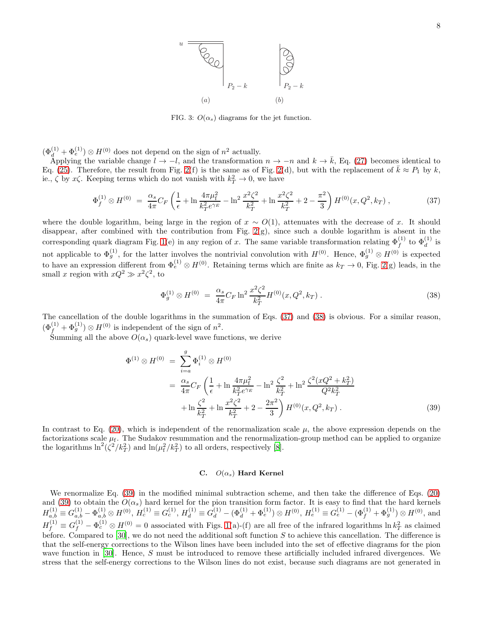

<span id="page-7-3"></span>FIG. 3:  $O(\alpha_s)$  diagrams for the jet function.

 $(\Phi_d^{(1)} + \Phi_e^{(1)}) \otimes H^{(0)}$  does not depend on the sign of  $n^2$  actually.

Applying the variable change  $l \to -l$ , and the transformation  $n \to -n$  and  $k \to \bar{k}$ , Eq. [\(27\)](#page-5-1) becomes identical to Eq. [\(25\)](#page-5-1). Therefore, the result from Fig. [2\(](#page-5-0)f) is the same as of Fig. 2(d), but with the replacement of  $\bar{k} \approx P_1$  by k, ie.,  $\zeta$  by  $x\zeta$ . Keeping terms which do not vanish with  $k_T^2 \to 0$ , we have

<span id="page-7-0"></span>
$$
\Phi_f^{(1)} \otimes H^{(0)} = \frac{\alpha_s}{4\pi} C_F \left( \frac{1}{\epsilon} + \ln \frac{4\pi\mu_{\rm f}^2}{k_T^2 e^{\gamma_E}} - \ln^2 \frac{x^2 \zeta^2}{k_T^2} + \ln \frac{x^2 \zeta^2}{k_T^2} + 2 - \frac{\pi^2}{3} \right) H^{(0)}(x, Q^2, k_T) ,\tag{37}
$$

where the double logarithm, being large in the region of  $x \sim O(1)$ , attenuates with the decrease of x. It should disappear, after combined with the contribution from Fig. [2\(](#page-5-0)g), since such a double logarithm is absent in the corresponding quark diagram Fig. [1\(](#page-3-0)e) in any region of x. The same variable transformation relating  $\Phi_f^{(1)}$  to  $\Phi_d^{(1)}$  is for applicable to  $\Phi_g^{(1)}$ , for the latter involves the nontrivial convolution with  $H^{(0)}$ . Hence,  $\Phi_g^{(1)} \otimes H^{(0)}$  is expected to have an expression different from  $\Phi_e^{(1)} \otimes H^{(0)}$ . Retaining terms which are finite as  $k_T \to 0$ , Fig. [2\(](#page-5-0)g) leads, in the small x region with  $xQ^2 \gg x^2 \zeta^2$ , to

<span id="page-7-1"></span>
$$
\Phi_g^{(1)} \otimes H^{(0)} = \frac{\alpha_s}{4\pi} C_F \ln^2 \frac{x^2 \zeta^2}{k_T^2} H^{(0)}(x, Q^2, k_T) \,. \tag{38}
$$

The cancellation of the double logarithms in the summation of Eqs. [\(37\)](#page-7-0) and [\(38\)](#page-7-1) is obvious. For a similar reason,  $(\Phi_f^{(1)} + \Phi_g^{(1)}) \otimes H^{(0)}$  is independent of the sign of  $n^2$ .

Summing all the above  $O(\alpha_s)$  quark-level wave functions, we derive

<span id="page-7-2"></span>
$$
\Phi^{(1)} \otimes H^{(0)} = \sum_{i=a}^{g} \Phi_i^{(1)} \otimes H^{(0)} \n= \frac{\alpha_s}{4\pi} C_F \left( \frac{1}{\epsilon} + \ln \frac{4\pi\mu_f^2}{k_T^2 e^{\gamma_E}} - \ln^2 \frac{\zeta^2}{k_T^2} + \ln^2 \frac{\zeta^2 (xQ^2 + k_T^2)}{Q^2 k_T^2} + \ln \frac{\zeta^2}{k_T^2} + \ln \frac{x^2 \zeta^2}{k_T^2} + 2 - \frac{2\pi^2}{3} \right) H^{(0)}(x, Q^2, k_T)
$$
\n(39)

In contrast to Eq. [\(20\)](#page-4-2), which is independent of the renormalization scale  $\mu$ , the above expression depends on the factorizations scale  $\mu_f$ . The Sudakov resummation and the renormalization-group method can be applied to organize the logarithms  $\ln^2(\zeta^2/k_T^2)$  and  $\ln(\mu_f^2/k_T^2)$  to all orders, respectively [\[8\]](#page-11-7).

### C.  $O(\alpha_s)$  Hard Kernel

We renormalize Eq. [\(39\)](#page-7-2) in the modified minimal subtraction scheme, and then take the difference of Eqs. [\(20\)](#page-4-2) and [\(39\)](#page-7-2) to obtain the  $O(\alpha_s)$  hard kernel for the pion transition form factor. It is easy to find that the hard kernels  $H_{a,b}^{(1)} \equiv G_{a,b}^{(1)} - \Phi_{a,b}^{(1)} \otimes H^{(0)}, H_c^{(1)} \equiv G_c^{(1)}, H_d^{(1)} \equiv G_d^{(1)} - (\Phi_d^{(1)} + \Phi_e^{(1)}) \otimes H^{(0)}, H_e^{(1)} \equiv G_e^{(1)} - (\Phi_f^{(1)} + \Phi_g^{(1)}) \otimes H^{(0)},$  and  $H_f^{(1)} \equiv G_f^{(1)} - \Phi_c^{(1)} \otimes H^{(0)} = 0$  associated with Figs. [1\(](#page-3-0)a)-(f) are all free of the infrared logarithms  $\ln k_T^2$  as claimed before. Compared to [\[30](#page-12-12)], we do not need the additional soft function  $S$  to achieve this cancellation. The difference is that the self-energy corrections to the Wilson lines have been included into the set of effective diagrams for the pion wave function in [\[30\]](#page-12-12). Hence, S must be introduced to remove these artificially included infrared divergences. We stress that the self-energy corrections to the Wilson lines do not exist, because such diagrams are not generated in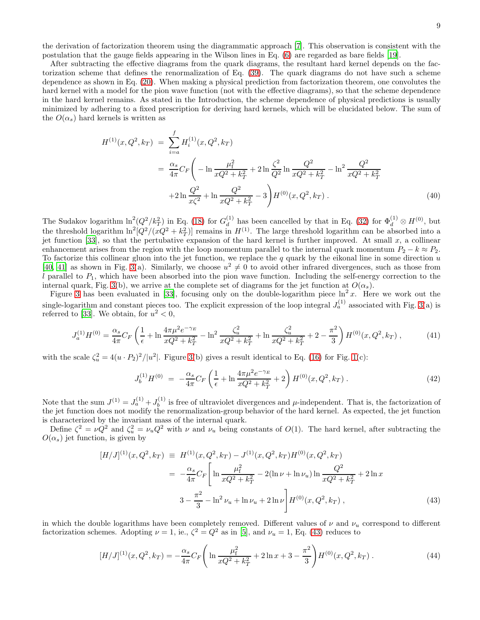the derivation of factorization theorem using the diagrammatic approach [\[7](#page-11-6)]. This observation is consistent with the postulation that the gauge fields appearing in the Wilson lines in Eq. [\(6\)](#page-2-3) are regarded as bare fields [\[19](#page-12-1)].

After subtracting the effective diagrams from the quark diagrams, the resultant hard kernel depends on the factorization scheme that defines the renormalization of Eq. [\(39\)](#page-7-2). The quark diagrams do not have such a scheme dependence as shown in Eq. [\(20\)](#page-4-2). When making a physical prediction from factorization theorem, one convolutes the hard kernel with a model for the pion wave function (not with the effective diagrams), so that the scheme dependence in the hard kernel remains. As stated in the Introduction, the scheme dependence of physical predictions is usually minimized by adhering to a fixed prescription for deriving hard kernels, which will be elucidated below. The sum of the  $O(\alpha_s)$  hard kernels is written as

$$
H^{(1)}(x, Q^2, k_T) = \sum_{i=a}^{f} H_i^{(1)}(x, Q^2, k_T)
$$
  
= 
$$
\frac{\alpha_s}{4\pi} C_F \left( -\ln \frac{\mu_f^2}{xQ^2 + k_T^2} + 2\ln \frac{\zeta^2}{Q^2} \ln \frac{Q^2}{xQ^2 + k_T^2} - \ln^2 \frac{Q^2}{xQ^2 + k_T^2} + 2\ln \frac{Q^2}{x\zeta^2} + \ln \frac{Q^2}{xQ^2 + k_T^2} - 3 \right) H^{(0)}(x, Q^2, k_T) .
$$
 (40)

The Sudakov logarithm  $\ln^2(Q^2/k_T^2)$  in Eq. [\(18\)](#page-4-1) for  $G_d^{(1)}$  $\mathbb{d}^{(1)}_d$  has been cancelled by that in Eq. [\(32\)](#page-6-0) for  $\Phi_d^{(1)} \otimes H^{(0)}$ , but the threshold logarithm  $\ln^2[Q^2/(xQ^2+k_T^2)]$  remains in  $H^{(1)}$ . The large threshold logarithm can be absorbed into a jet function [\[33\]](#page-12-15), so that the pertubative expansion of the hard kernel is further improved. At small  $x$ , a collinear enhancement arises from the region with the loop momentum parallel to the internal quark momentum  $P_2 - k \approx P_2$ . To factorize this collinear gluon into the jet function, we replace the  $q$  quark by the eikonal line in some direction  $u$ [\[40,](#page-12-22) [41\]](#page-12-23) as shown in Fig. [3\(](#page-7-3)a). Similarly, we choose  $u^2 \neq 0$  to avoid other infrared divergences, such as those from l parallel to  $P_1$ , which have been absorbed into the pion wave function. Including the self-energy correction to the internal quark, Fig. [3\(](#page-7-3)b), we arrive at the complete set of diagrams for the jet function at  $O(\alpha_s)$ .

Figure [3](#page-7-3) has been evaluated in [\[33\]](#page-12-15), focusing only on the double-logarithm piece  $\ln^2 x$ . Here we work out the single-logarithm and constant pieces too. The explicit expression of the loop integral  $J_a^{(1)}$  associated with Fig. [3\(](#page-7-3)a) is referred to [\[33\]](#page-12-15). We obtain, for  $u^2 < 0$ ,

$$
J_a^{(1)}H^{(0)} = \frac{\alpha_s}{4\pi}C_F \left(\frac{1}{\epsilon} + \ln\frac{4\pi\mu^2 e^{-\gamma_E}}{xQ^2 + k_T^2} - \ln^2\frac{\zeta_u^2}{xQ^2 + k_T^2} + \ln\frac{\zeta_u^2}{xQ^2 + k_T^2} + 2 - \frac{\pi^2}{3}\right)H^{(0)}(x, Q^2, k_T) ,\tag{41}
$$

with the scale  $\zeta_u^2 = 4(u \cdot P_2)^2/|u^2|$ . Figure [3\(](#page-7-3)b) gives a result identical to Eq. [\(16\)](#page-3-1) for Fig. [1\(](#page-3-0)c):

$$
J_b^{(1)}H^{(0)} = -\frac{\alpha_s}{4\pi}C_F \left(\frac{1}{\epsilon} + \ln\frac{4\pi\mu^2 e^{-\gamma_E}}{xQ^2 + k_T^2} + 2\right)H^{(0)}(x, Q^2, k_T) \,. \tag{42}
$$

Note that the sum  $J^{(1)} = J_a^{(1)} + J_b^{(1)}$  $b<sub>b</sub>$ <sup>(1)</sup> is free of ultraviolet divergences and  $\mu$ -independent. That is, the factorization of the jet function does not modify the renormalization-group behavior of the hard kernel. As expected, the jet function is characterized by the invariant mass of the internal quark.

Define  $\zeta^2 = \nu Q^2$  and  $\zeta_u^2 = \nu_u Q^2$  with  $\nu$  and  $\nu_u$  being constants of  $O(1)$ . The hard kernel, after subtracting the  $O(\alpha_s)$  jet function, is given by

<span id="page-8-0"></span>
$$
[H/J]^{(1)}(x, Q^2, k_T) \equiv H^{(1)}(x, Q^2, k_T) - J^{(1)}(x, Q^2, k_T)H^{(0)}(x, Q^2, k_T)
$$
  

$$
= -\frac{\alpha_s}{4\pi}C_F \left[ \ln \frac{\mu_f^2}{xQ^2 + k_T^2} - 2(\ln \nu + \ln \nu_u) \ln \frac{Q^2}{xQ^2 + k_T^2} + 2\ln x \right]
$$
  

$$
3 - \frac{\pi^2}{3} - \ln^2 \nu_u + \ln \nu_u + 2\ln \nu \left[ H^{(0)}(x, Q^2, k_T) \right],
$$
 (43)

in which the double logarithms have been completely removed. Different values of  $\nu$  and  $\nu_u$  correspond to different factorization schemes. Adopting  $\nu = 1$ , ie.,  $\zeta^2 = Q^2$  as in [\[5\]](#page-11-4), and  $\nu_u = 1$ , Eq. [\(43\)](#page-8-0) reduces to

$$
[H/J]^{(1)}(x, Q^2, k_T) = -\frac{\alpha_s}{4\pi} C_F \left( \ln \frac{\mu_f^2}{xQ^2 + k_T^2} + 2\ln x + 3 - \frac{\pi^2}{3} \right) H^{(0)}(x, Q^2, k_T) \,. \tag{44}
$$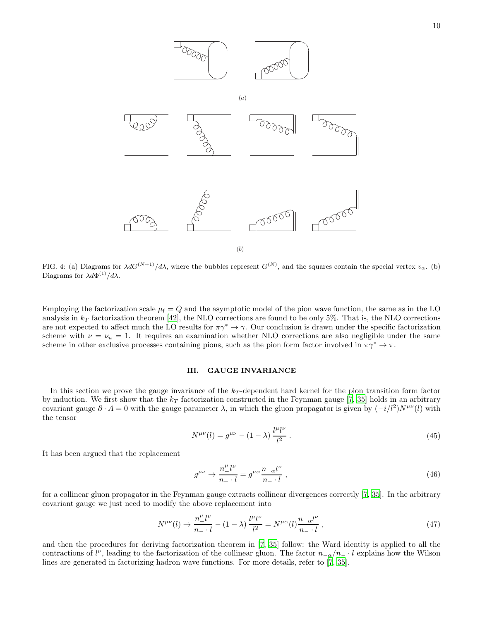

<span id="page-9-0"></span>FIG. 4: (a) Diagrams for  $\lambda dG^{(N+1)}/d\lambda$ , where the bubbles represent  $G^{(N)}$ , and the squares contain the special vertex  $v_{\alpha}$ . (b) Diagrams for  $\lambda d\Phi^{(1)}/d\lambda$ .

Employing the factorization scale  $\mu_f = Q$  and the asymptotic model of the pion wave function, the same as in the LO analysis in  $k_T$  factorization theorem [\[42\]](#page-12-24), the NLO corrections are found to be only 5%. That is, the NLO corrections are not expected to affect much the LO results for  $\pi \gamma^* \to \gamma$ . Our conclusion is drawn under the specific factorization scheme with  $\nu = \nu_u = 1$ . It requires an examination whether NLO corrections are also negligible under the same scheme in other exclusive processes containing pions, such as the pion form factor involved in  $\pi\gamma^* \to \pi$ .

# III. GAUGE INVARIANCE

In this section we prove the gauge invariance of the  $k_T$ -dependent hard kernel for the pion transition form factor by induction. We first show that the  $k_T$  factorization constructed in the Feynman gauge [\[7,](#page-11-6) [35\]](#page-12-17) holds in an arbitrary covariant gauge  $\partial \cdot A = 0$  with the gauge parameter  $\lambda$ , in which the gluon propagator is given by  $(-i/l^2)N^{\mu\nu}(l)$  with the tensor

$$
N^{\mu\nu}(l) = g^{\mu\nu} - (1 - \lambda) \frac{l^{\mu}l^{\nu}}{l^2} \,. \tag{45}
$$

It has been argued that the replacement

$$
g^{\mu\nu} \to \frac{n^{\mu}_{-}l^{\nu}}{n_{-} \cdot l} = g^{\mu\alpha} \frac{n_{-\alpha}l^{\nu}}{n_{-} \cdot l} , \qquad (46)
$$

for a collinear gluon propagator in the Feynman gauge extracts collinear divergences correctly [\[7,](#page-11-6) [35\]](#page-12-17). In the arbitrary covariant gauge we just need to modify the above replacement into

<span id="page-9-1"></span>
$$
N^{\mu\nu}(l) \to \frac{n_-^{\mu}l^{\nu}}{n_- \cdot l} - (1 - \lambda) \frac{l^{\mu}l^{\nu}}{l^2} = N^{\mu\alpha}(l)\frac{n_{-\alpha}l^{\nu}}{n_- \cdot l} , \qquad (47)
$$

and then the procedures for deriving factorization theorem in [\[7,](#page-11-6) [35\]](#page-12-17) follow: the Ward identity is applied to all the contractions of  $l^{\nu}$ , leading to the factorization of the collinear gluon. The factor  $n_{-\alpha}/n_{-} \cdot l$  explains how the Wilson lines are generated in factorizing hadron wave functions. For more details, refer to [\[7,](#page-11-6) [35\]](#page-12-17).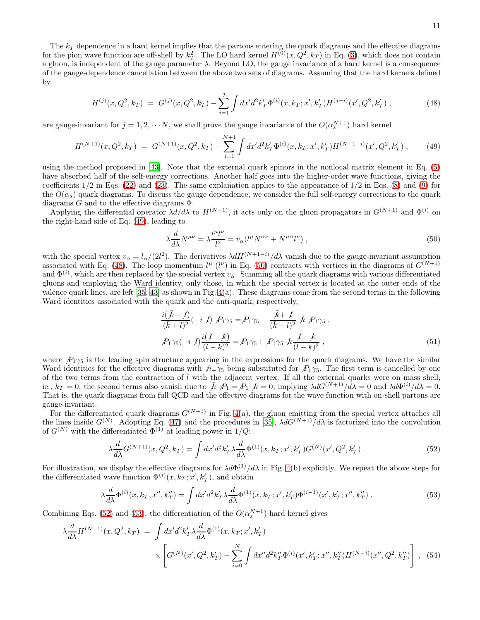The  $k_T$  dependence in a hard kernel implies that the partons entering the quark diagrams and the effective diagrams for the pion wave function are off-shell by  $k_T^2$ . The LO hard kernel  $H^{(0)}(x, Q^2, k_T)$  in Eq. [\(3\)](#page-1-1), which does not contain a gluon, is independent of the gauge parameter  $\lambda$ . Beyond LO, the gauge invariance of a hard kernel is a consequence of the gauge-dependence cancellation between the above two sets of diagrams. Assuming that the hard kernels defined by

<span id="page-10-1"></span>
$$
H^{(j)}(x, Q^2, k_T) = G^{(j)}(x, Q^2, k_T) - \sum_{i=1}^j \int dx' d^2k'_T \Phi^{(i)}(x, k_T; x', k'_T) H^{(j-i)}(x', Q^2, k'_T) ,\qquad (48)
$$

are gauge-invariant for  $j = 1, 2, \cdots N$ , we shall prove the gauge invariance of the  $O(\alpha_s^{N+1})$  hard kernel

<span id="page-10-0"></span>
$$
H^{(N+1)}(x,Q^2,k_T) = G^{(N+1)}(x,Q^2,k_T) - \sum_{i=1}^{N+1} \int dx'd^2k'_T \Phi^{(i)}(x,k_T;x',k'_T) H^{(N+1-i)}(x',Q^2,k'_T) ,\qquad (49)
$$

using the method proposed in [\[43](#page-12-25)]. Note that the external quark spinors in the nonlocal matrix element in Eq. [\(5\)](#page-2-0) have absorbed half of the self-energy corrections. Another half goes into the higher-order wave functions, giving the coefficients  $1/2$  in Eqs. [\(22\)](#page-5-1) and [\(23\)](#page-5-1). The same explanation applies to the appearance of  $1/2$  in Eqs. [\(8\)](#page-2-2) and [\(9\)](#page-2-2) for the  $O(\alpha_s)$  quark diagrams. To discuss the gauge dependence, we consider the full self-energy corrections to the quark diagrams  $G$  and to the effective diagrams  $\Phi$ .

Applying the differential operator  $\lambda d/d\lambda$  to  $H^{(N+1)}$ , it acts only on the gluon propagators in  $G^{(N+1)}$  and  $\Phi^{(i)}$  on the right-hand side of Eq. [\(49\)](#page-10-0), leading to

<span id="page-10-2"></span>
$$
\lambda \frac{d}{d\lambda} N^{\mu\nu} = \lambda \frac{l^{\mu} l^{\nu}}{l^2} = v_{\alpha} (l^{\mu} N^{\alpha\nu} + N^{\mu\alpha} l^{\nu}) , \qquad (50)
$$

with the special vertex  $v_{\alpha} = l_{\alpha}/(2l^2)$ . The derivatives  $\lambda dH^{(N+1-i)}/d\lambda$  vanish due to the gauge-invariant assumption associated with Eq. [\(48\)](#page-10-1). The loop momentum  $l^{\mu}$  ( $l^{\nu}$ ) in Eq. [\(50\)](#page-10-2) contracts with vertices in the diagrams of  $G^{(N+1)}$ and  $\Phi^{(i)}$ , which are then replaced by the special vertex  $v_\alpha$ . Summing all the quark diagrams with various differentiated gluons and employing the Ward identity, only those, in which the special vertex is located at the outer ends of the valence quark lines, are left  $[35, 43]$  $[35, 43]$  $[35, 43]$  as shown in Fig.  $4(a)$ . These diagrams come from the second terms in the following Ward identities associated with the quark and the anti-quark, respectively,

$$
\frac{i(\bar{k}+1)}{(\bar{k}+1)^2}(-i\ 1)\ P_1\gamma_5 = P_1\gamma_5 - \frac{\bar{k}+1}{(\bar{k}+1)^2}\ \bar{k}\ P_1\gamma_5\ ,
$$
  

$$
P_1\gamma_5(-i\ 1)\frac{i(1-k)}{(1-k)^2} = P_1\gamma_5 + P_1\gamma_5\ k\frac{1-k}{(1-k)^2}\ ,
$$
 (51)

where  $P_1\gamma_5$  is the leading spin structure appearing in the expressions for the quark diagrams. We have the similar Ward identities for the effective diagrams with  $h_+\gamma_5$  being substituted for  $P_1\gamma_5$ . The first term is cancelled by one of the two terms from the contraction of  $l$  with the adjacent vertex. If all the external quarks were on mass shell, ie.,  $k_T = 0$ , the second terms also vanish due to  $\bar{k}$ ,  $P_1 = P_1$ ,  $k = 0$ , implying  $\lambda dG^{(N+1)}/d\lambda = 0$  and  $\lambda d\Phi^{(i)}/d\lambda = 0$ . That is, the quark diagrams from full QCD and the effective diagrams for the wave function with on-shell partons are gauge-invariant.

For the differentiated quark diagrams  $G^{(N+1)}$  in Fig. [4\(](#page-9-0)a), the gluon emitting from the special vertex attaches all the lines inside  $G^{(N)}$ . Adopting Eq. [\(47\)](#page-9-1) and the procedures in [\[35](#page-12-17)],  $\lambda dG^{(N+1)}/d\lambda$  is factorized into the convolution of  $G^{(N)}$  with the differentiated  $\Phi^{(1)}$  at leading power in 1/Q:

<span id="page-10-3"></span>
$$
\lambda \frac{d}{d\lambda} G^{(N+1)}(x, Q^2, k_T) = \int dx' d^2k'_T \lambda \frac{d}{d\lambda} \Phi^{(1)}(x, k_T; x', k'_T) G^{(N)}(x', Q^2, k'_T) . \tag{52}
$$

For illustration, we display the effective diagrams for  $\lambda d\Phi^{(1)}/d\lambda$  in Fig. [4\(](#page-9-0)b) explicitly. We repeat the above steps for the differentiated wave function  $\Phi^{(i)}(x, k_T; x', k'_T)$ , and obtain

<span id="page-10-4"></span>
$$
\lambda \frac{d}{d\lambda} \Phi^{(i)}(x, k_T, x'', k_T'') = \int dx' d^2k'_T \lambda \frac{d}{d\lambda} \Phi^{(1)}(x, k_T; x', k_T') \Phi^{(i-1)}(x', k_T'; x'', k_T'') . \tag{53}
$$

Combining Eqs. [\(52\)](#page-10-3) and [\(53\)](#page-10-4), the differentiation of the  $O(\alpha_s^{N+1})$  hard kernel gives

$$
\lambda \frac{d}{d\lambda} H^{(N+1)}(x, Q^2, k_T) = \int dx' d^2 k'_T \lambda \frac{d}{d\lambda} \Phi^{(1)}(x, k_T; x', k'_T)
$$

$$
\times \left[ G^{(N)}(x', Q^2, k'_T) - \sum_{i=0}^N \int dx'' d^2 k''_T \Phi^{(i)}(x', k'_T; x'', k''_T) H^{(N-i)}(x'', Q^2, k''_T) \right], \quad (54)
$$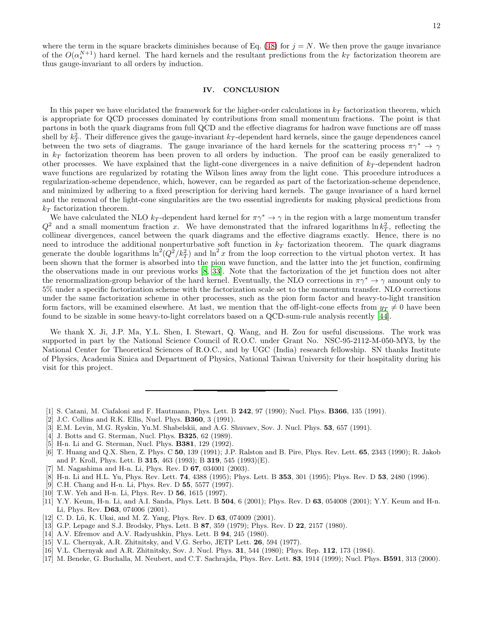where the term in the square brackets diminishes because of Eq. [\(48\)](#page-10-1) for  $j = N$ . We then prove the gauge invariance of the  $O(\alpha_s^{N+1})$  hard kernel. The hard kernels and the resultant predictions from the  $k_T$  factorization theorem are thus gauge-invariant to all orders by induction.

# IV. CONCLUSION

In this paper we have elucidated the framework for the higher-order calculations in  $k_T$  factorization theorem, which is appropriate for QCD processes dominated by contributions from small momentum fractions. The point is that partons in both the quark diagrams from full QCD and the effective diagrams for hadron wave functions are off mass shell by  $k_T^2$ . Their difference gives the gauge-invariant  $k_T$ -dependent hard kernels, since the gauge dependences cancel between the two sets of diagrams. The gauge invariance of the hard kernels for the scattering process  $\pi\gamma^* \to \gamma$ in  $k_T$  factorization theorem has been proven to all orders by induction. The proof can be easily generalized to other processes. We have explained that the light-cone divergences in a naive definition of  $k_T$ -dependent hadron wave functions are regularized by rotating the Wilson lines away from the light cone. This procedure introduces a regularization-scheme dependence, which, however, can be regarded as part of the factorization-scheme dependence, and minimized by adhering to a fixed prescription for deriving hard kernels. The gauge invariance of a hard kernel and the removal of the light-cone singularities are the two essential ingredients for making physical predictions from  $k_T$  factorization theorem.

We have calculated the NLO k<sub>T</sub>-dependent hard kernel for  $\pi \gamma^* \to \gamma$  in the region with a large momentum transfer  $Q^2$  and a small momentum fraction x. We have demonstrated that the infrared logarithms  $\ln k_T^2$ , reflecting the collinear divergences, cancel between the quark diagrams and the effective diagrams exactly. Hence, there is no need to introduce the additional nonperturbative soft function in  $k_T$  factorization theorem. The quark diagrams generate the double logarithms  $\ln^2(Q^2/k_T^2)$  and  $\ln^2 x$  from the loop correction to the virtual photon vertex. It has been shown that the former is absorbed into the pion wave function, and the latter into the jet function, confirming the observations made in our previous works [\[8](#page-11-7), [33\]](#page-12-15). Note that the factorization of the jet function does not alter the renormalization-group behavior of the hard kernel. Eventually, the NLO corrections in  $\pi\gamma^* \to \gamma$  amount only to 5% under a specific factorization scheme with the factorization scale set to the momentum transfer. NLO corrections under the same factorization scheme in other processes, such as the pion form factor and heavy-to-light transition form factors, will be examined elsewhere. At last, we mention that the off-light-cone effects from  $y_T \neq 0$  have been found to be sizable in some heavy-to-light correlators based on a QCD-sum-rule analysis recently [\[44](#page-12-26)].

We thank X. Ji, J.P. Ma, Y.L. Shen, I. Stewart, Q. Wang, and H. Zou for useful discussions. The work was supported in part by the National Science Council of R.O.C. under Grant No. NSC-95-2112-M-050-MY3, by the National Center for Theoretical Sciences of R.O.C., and by UGC (India) research fellowship. SN thanks Institute of Physics, Academia Sinica and Department of Physics, National Taiwan University for their hospitality during his visit for this project.

- <span id="page-11-0"></span>[1] S. Catani, M. Ciafaloni and F. Hautmann, Phys. Lett. B 242, 97 (1990); Nucl. Phys. B366, 135 (1991).
- <span id="page-11-1"></span>[2] J.C. Collins and R.K. Ellis, Nucl. Phys. **B360**, 3 (1991).
- <span id="page-11-2"></span>[3] E.M. Levin, M.G. Ryskin, Yu.M. Shabelskii, and A.G. Shuvaev, Sov. J. Nucl. Phys. 53, 657 (1991).
- <span id="page-11-3"></span>[4] J. Botts and G. Sterman, Nucl. Phys. **B325**, 62 (1989).
- <span id="page-11-4"></span>[5] H-n. Li and G. Sterman, Nucl. Phys. **B381**, 129 (1992).
- <span id="page-11-5"></span>[6] T. Huang and Q.X. Shen, Z. Phys. C 50, 139 (1991); J.P. Ralston and B. Pire, Phys. Rev. Lett. 65, 2343 (1990); R. Jakob and P. Kroll, Phys. Lett. B 315, 463 (1993); B 319, 545 (1993)(E).
- <span id="page-11-6"></span>[7] M. Nagashima and H-n. Li, Phys. Rev. D 67, 034001 (2003).
- <span id="page-11-7"></span>[8] H-n. Li and H.L. Yu, Phys. Rev. Lett. 74, 4388 (1995); Phys. Lett. B 353, 301 (1995); Phys. Rev. D 53, 2480 (1996).
- <span id="page-11-8"></span>[9] C.H. Chang and H-n. Li, Phys. Rev. D 55, 5577 (1997).
- <span id="page-11-9"></span>[10] T.W. Yeh and H-n. Li, Phys. Rev. D 56, 1615 (1997).
- <span id="page-11-10"></span>[11] Y.Y. Keum, H-n. Li, and A.I. Sanda, Phys. Lett. B 504, 6 (2001); Phys. Rev. D 63, 054008 (2001); Y.Y. Keum and H-n. Li, Phys. Rev. D63, 074006 (2001).
- <span id="page-11-11"></span>[12] C. D. Lü, K. Ukai, and M. Z. Yang, Phys. Rev. D 63, 074009 (2001).
- <span id="page-11-12"></span>[13] G.P. Lepage and S.J. Brodsky, Phys. Lett. B 87, 359 (1979); Phys. Rev. D 22, 2157 (1980).
- <span id="page-11-13"></span>[14] A.V. Efremov and A.V. Radyushkin, Phys. Lett. B **94**, 245 (1980).
- <span id="page-11-14"></span>[15] V.L. Chernyak, A.R. Zhitnitsky, and V.G. Serbo, JETP Lett. 26, 594 (1977).
- <span id="page-11-15"></span>[16] V.L. Chernyak and A.R. Zhitnitsky, Sov. J. Nucl. Phys. **31**, 544 (1980); Phys. Rep. **112**, 173 (1984).
- <span id="page-11-16"></span>[17] M. Beneke, G. Buchalla, M. Neubert, and C.T. Sachrajda, Phys. Rev. Lett. 83, 1914 (1999); Nucl. Phys. B591, 313 (2000).